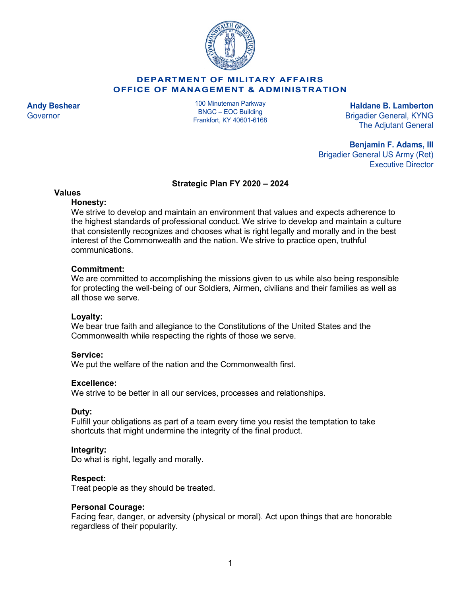

## **DEPARTMENT OF MILITARY AFFAIRS OFFICE OF MANAGEMENT & ADMINISTRATION**

100 Minuteman Parkway BNGC – EOC Building Frankfort, KY 40601-6168

**Andy Beshear Haldane B. Lamberton** Governor **BRIGHT CONGRESS CONSUMING** CONSUMING BRIGAGE **BRIGHT CONGRESS CONGRESS CONGRESS** BRIGAGE **BRIGAGE CONGRESS** The Adjutant General

> **Benjamin F. Adams, III** Brigadier General US Army (Ret) Executive Director

#### **Strategic Plan FY 2020 – 2024**

## **Values**

## **Honesty:**

We strive to develop and maintain an environment that values and expects adherence to the highest standards of professional conduct. We strive to develop and maintain a culture that consistently recognizes and chooses what is right legally and morally and in the best interest of the Commonwealth and the nation. We strive to practice open, truthful communications.

## **Commitment:**

We are committed to accomplishing the missions given to us while also being responsible for protecting the well-being of our Soldiers, Airmen, civilians and their families as well as all those we serve.

# **Loyalty:**

We bear true faith and allegiance to the Constitutions of the United States and the Commonwealth while respecting the rights of those we serve.

# **Service:**

We put the welfare of the nation and the Commonwealth first.

# **Excellence:**

We strive to be better in all our services, processes and relationships.

#### **Duty:**

Fulfill your obligations as part of a team every time you resist the temptation to take shortcuts that might undermine the integrity of the final product.

# **Integrity:**

Do what is right, legally and morally.

#### **Respect:**

Treat people as they should be treated.

#### **Personal Courage:**

Facing fear, danger, or adversity (physical or moral). Act upon things that are honorable regardless of their popularity.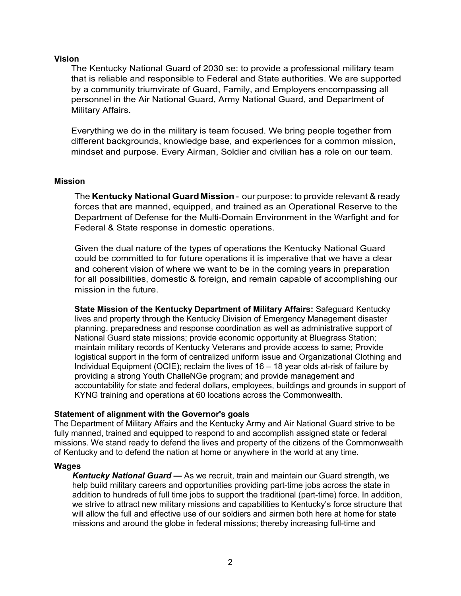## **Vision**

The Kentucky National Guard of 2030 se: to provide a professional military team that is reliable and responsible to Federal and State authorities. We are supported by a community triumvirate of Guard, Family, and Employers encompassing all personnel in the Air National Guard, Army National Guard, and Department of Military Affairs.

Everything we do in the military is team focused. We bring people together from different backgrounds, knowledge base, and experiences for a common mission, mindset and purpose. Every Airman, Soldier and civilian has a role on our team.

## **Mission**

The **Kentucky National Guard Mission** - our purpose: to provide relevant & ready forces that are manned, equipped, and trained as an Operational Reserve to the Department of Defense for the Multi-Domain Environment in the Warfight and for Federal & State response in domestic operations.

Given the dual nature of the types of operations the Kentucky National Guard could be committed to for future operations it is imperative that we have a clear and coherent vision of where we want to be in the coming years in preparation for all possibilities, domestic & foreign, and remain capable of accomplishing our mission in the future.

**State Mission of the Kentucky Department of Military Affairs:** Safeguard Kentucky lives and property through the Kentucky Division of Emergency Management disaster planning, preparedness and response coordination as well as administrative support of National Guard state missions; provide economic opportunity at Bluegrass Station; maintain military records of Kentucky Veterans and provide access to same; Provide logistical support in the form of centralized uniform issue and Organizational Clothing and Individual Equipment (OCIE); reclaim the lives of 16 – 18 year olds at-risk of failure by providing a strong Youth ChalleNGe program; and provide management and accountability for state and federal dollars, employees, buildings and grounds in support of KYNG training and operations at 60 locations across the Commonwealth.

#### **Statement of alignment with the Governor's goals**

The Department of Military Affairs and the Kentucky Army and Air National Guard strive to be fully manned, trained and equipped to respond to and accomplish assigned state or federal missions. We stand ready to defend the lives and property of the citizens of the Commonwealth of Kentucky and to defend the nation at home or anywhere in the world at any time.

#### **Wages**

*Kentucky National Guard —* As we recruit, train and maintain our Guard strength, we help build military careers and opportunities providing part-time jobs across the state in addition to hundreds of full time jobs to support the traditional (part-time) force. In addition, we strive to attract new military missions and capabilities to Kentucky's force structure that will allow the full and effective use of our soldiers and airmen both here at home for state missions and around the globe in federal missions; thereby increasing full-time and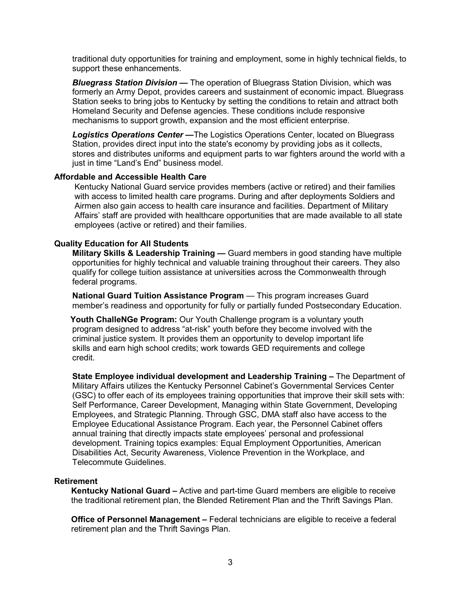traditional duty opportunities for training and employment, some in highly technical fields, to support these enhancements.

*Bluegrass Station Division —* The operation of Bluegrass Station Division, which was formerly an Army Depot, provides careers and sustainment of economic impact. Bluegrass Station seeks to bring jobs to Kentucky by setting the conditions to retain and attract both Homeland Security and Defense agencies. These conditions include responsive mechanisms to support growth, expansion and the most efficient enterprise.

*Logistics Operations Center —*The Logistics Operations Center, located on Bluegrass Station, provides direct input into the state's economy by providing jobs as it collects, stores and distributes uniforms and equipment parts to war fighters around the world with a just in time "Land's End" business model.

#### **Affordable and Accessible Health Care**

Kentucky National Guard service provides members (active or retired) and their families with access to limited health care programs. During and after deployments Soldiers and Airmen also gain access to health care insurance and facilities. Department of Military Affairs' staff are provided with healthcare opportunities that are made available to all state employees (active or retired) and their families.

#### **Quality Education for All Students**

**Military Skills & Leadership Training — Guard members in good standing have multiple** opportunities for highly technical and valuable training throughout their careers. They also qualify for college tuition assistance at universities across the Commonwealth through federal programs.

**National Guard Tuition Assistance Program** — This program increases Guard member's readiness and opportunity for fully or partially funded Postsecondary Education.

**Youth ChalleNGe Program:** Our Youth Challenge program is a voluntary youth program designed to address "at-risk" youth before they become involved with the criminal justice system. It provides them an opportunity to develop important life skills and earn high school credits; work towards GED requirements and college credit.

**State Employee individual development and Leadership Training –** The Department of Military Affairs utilizes the Kentucky Personnel Cabinet's Governmental Services Center (GSC) to offer each of its employees training opportunities that improve their skill sets with: Self Performance, Career Development, Managing within State Government, Developing Employees, and Strategic Planning. Through GSC, DMA staff also have access to the Employee Educational Assistance Program. Each year, the Personnel Cabinet offers annual training that directly impacts state employees' personal and professional development. Training topics examples: Equal Employment Opportunities, American Disabilities Act, Security Awareness, Violence Prevention in the Workplace, and Telecommute Guidelines.

#### **Retirement**

**Kentucky National Guard –** Active and part-time Guard members are eligible to receive the traditional retirement plan, the Blended Retirement Plan and the Thrift Savings Plan.

**Office of Personnel Management –** Federal technicians are eligible to receive a federal retirement plan and the Thrift Savings Plan.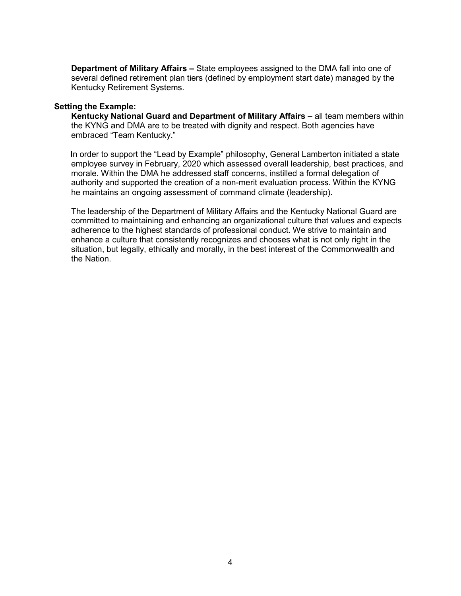**Department of Military Affairs –** State employees assigned to the DMA fall into one of several defined retirement plan tiers (defined by employment start date) managed by the Kentucky Retirement Systems.

#### **Setting the Example:**

**Kentucky National Guard and Department of Military Affairs –** all team members within the KYNG and DMA are to be treated with dignity and respect. Both agencies have embraced "Team Kentucky."

 In order to support the "Lead by Example" philosophy, General Lamberton initiated a state employee survey in February, 2020 which assessed overall leadership, best practices, and morale. Within the DMA he addressed staff concerns, instilled a formal delegation of authority and supported the creation of a non-merit evaluation process. Within the KYNG he maintains an ongoing assessment of command climate (leadership).

The leadership of the Department of Military Affairs and the Kentucky National Guard are committed to maintaining and enhancing an organizational culture that values and expects adherence to the highest standards of professional conduct. We strive to maintain and enhance a culture that consistently recognizes and chooses what is not only right in the situation, but legally, ethically and morally, in the best interest of the Commonwealth and the Nation.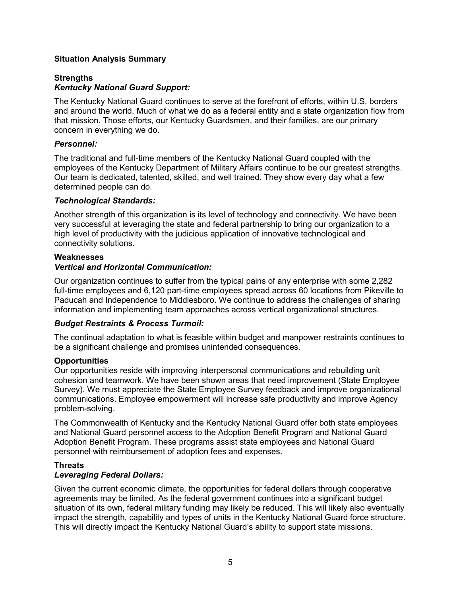# **Situation Analysis Summary**

# **Strengths** *Kentucky National Guard Support:*

The Kentucky National Guard continues to serve at the forefront of efforts, within U.S. borders and around the world. Much of what we do as a federal entity and a state organization flow from that mission. Those efforts, our Kentucky Guardsmen, and their families, are our primary concern in everything we do.

# *Personnel:*

The traditional and full-time members of the Kentucky National Guard coupled with the employees of the Kentucky Department of Military Affairs continue to be our greatest strengths. Our team is dedicated, talented, skilled, and well trained. They show every day what a few determined people can do.

## *Technological Standards:*

Another strength of this organization is its level of technology and connectivity. We have been very successful at leveraging the state and federal partnership to bring our organization to a high level of productivity with the judicious application of innovative technological and connectivity solutions.

## **Weaknesses**

# *Vertical and Horizontal Communication:*

Our organization continues to suffer from the typical pains of any enterprise with some 2,282 full-time employees and 6,120 part-time employees spread across 60 locations from Pikeville to Paducah and Independence to Middlesboro. We continue to address the challenges of sharing information and implementing team approaches across vertical organizational structures.

# *Budget Restraints & Process Turmoil:*

The continual adaptation to what is feasible within budget and manpower restraints continues to be a significant challenge and promises unintended consequences.

#### **Opportunities**

Our opportunities reside with improving interpersonal communications and rebuilding unit cohesion and teamwork. We have been shown areas that need improvement (State Employee Survey). We must appreciate the State Employee Survey feedback and improve organizational communications. Employee empowerment will increase safe productivity and improve Agency problem-solving.

The Commonwealth of Kentucky and the Kentucky National Guard offer both state employees and National Guard personnel access to the Adoption Benefit Program and National Guard Adoption Benefit Program. These programs assist state employees and National Guard personnel with reimbursement of adoption fees and expenses.

# **Threats**

#### *Leveraging Federal Dollars:*

Given the current economic climate, the opportunities for federal dollars through cooperative agreements may be limited. As the federal government continues into a significant budget situation of its own, federal military funding may likely be reduced. This will likely also eventually impact the strength, capability and types of units in the Kentucky National Guard force structure. This will directly impact the Kentucky National Guard's ability to support state missions.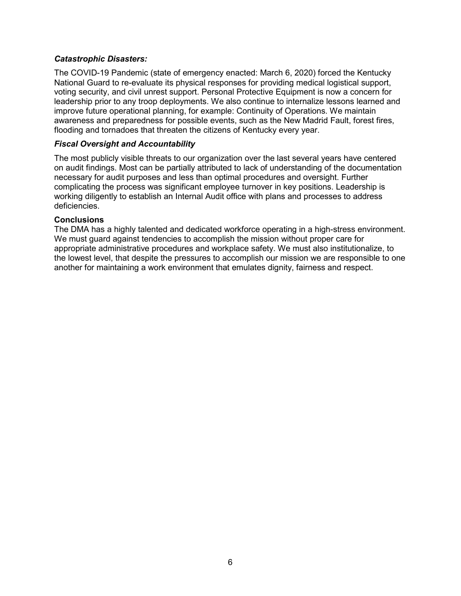# *Catastrophic Disasters:*

The COVID-19 Pandemic (state of emergency enacted: March 6, 2020) forced the Kentucky National Guard to re-evaluate its physical responses for providing medical logistical support, voting security, and civil unrest support. Personal Protective Equipment is now a concern for leadership prior to any troop deployments. We also continue to internalize lessons learned and improve future operational planning, for example: Continuity of Operations. We maintain awareness and preparedness for possible events, such as the New Madrid Fault, forest fires, flooding and tornadoes that threaten the citizens of Kentucky every year.

## *Fiscal Oversight and Accountability*

The most publicly visible threats to our organization over the last several years have centered on audit findings. Most can be partially attributed to lack of understanding of the documentation necessary for audit purposes and less than optimal procedures and oversight. Further complicating the process was significant employee turnover in key positions. Leadership is working diligently to establish an Internal Audit office with plans and processes to address deficiencies.

## **Conclusions**

The DMA has a highly talented and dedicated workforce operating in a high-stress environment. We must guard against tendencies to accomplish the mission without proper care for appropriate administrative procedures and workplace safety. We must also institutionalize, to the lowest level, that despite the pressures to accomplish our mission we are responsible to one another for maintaining a work environment that emulates dignity, fairness and respect.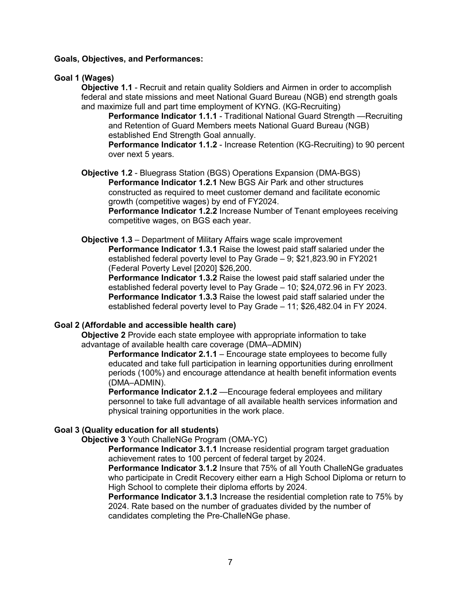#### **Goals, Objectives, and Performances:**

## **Goal 1 (Wages)**

**Objective 1.1** - Recruit and retain quality Soldiers and Airmen in order to accomplish federal and state missions and meet National Guard Bureau (NGB) end strength goals and maximize full and part time employment of KYNG. (KG-Recruiting)

**Performance Indicator 1.1.1** - Traditional National Guard Strength —Recruiting and Retention of Guard Members meets National Guard Bureau (NGB) established End Strength Goal annually.

**Performance Indicator 1.1.2** - Increase Retention (KG-Recruiting) to 90 percent over next 5 years.

**Objective 1.2** - Bluegrass Station (BGS) Operations Expansion (DMA-BGS) **Performance Indicator 1.2.1** New BGS Air Park and other structures constructed as required to meet customer demand and facilitate economic growth (competitive wages) by end of FY2024.

**Performance Indicator 1.2.2** Increase Number of Tenant employees receiving competitive wages, on BGS each year.

# **Objective 1.3** – Department of Military Affairs wage scale improvement

**Performance Indicator 1.3.1** Raise the lowest paid staff salaried under the established federal poverty level to Pay Grade – 9; \$21,823.90 in FY2021 (Federal Poverty Level [2020] \$26,200.

**Performance Indicator 1.3.2** Raise the lowest paid staff salaried under the established federal poverty level to Pay Grade – 10; \$24,072.96 in FY 2023. **Performance Indicator 1.3.3** Raise the lowest paid staff salaried under the established federal poverty level to Pay Grade – 11; \$26,482.04 in FY 2024.

# **Goal 2 (Affordable and accessible health care)**

**Objective 2** Provide each state employee with appropriate information to take advantage of available health care coverage (DMA–ADMIN)

**Performance Indicator 2.1.1** – Encourage state employees to become fully educated and take full participation in learning opportunities during enrollment periods (100%) and encourage attendance at health benefit information events (DMA–ADMIN).

**Performance Indicator 2.1.2** —Encourage federal employees and military personnel to take full advantage of all available health services information and physical training opportunities in the work place.

# **Goal 3 (Quality education for all students)**

**Objective 3** Youth ChalleNGe Program (OMA-YC)

**Performance Indicator 3.1.1** Increase residential program target graduation achievement rates to 100 percent of federal target by 2024.

**Performance Indicator 3.1.2** Insure that 75% of all Youth ChalleNGe graduates who participate in Credit Recovery either earn a High School Diploma or return to High School to complete their diploma efforts by 2024.

**Performance Indicator 3.1.3** Increase the residential completion rate to 75% by 2024. Rate based on the number of graduates divided by the number of candidates completing the Pre-ChalleNGe phase.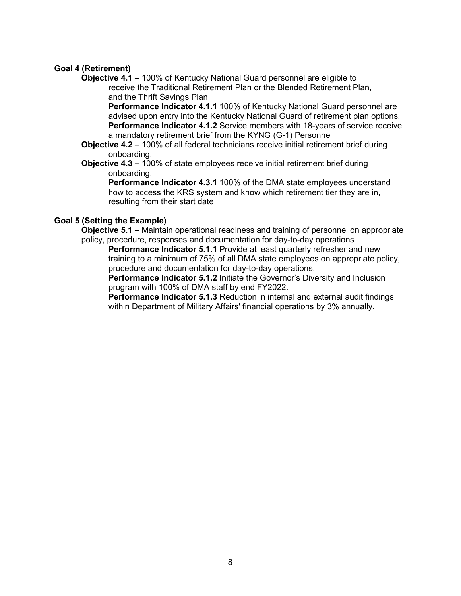# **Goal 4 (Retirement)**

**Objective 4.1 –** 100% of Kentucky National Guard personnel are eligible to receive the Traditional Retirement Plan or the Blended Retirement Plan, and the Thrift Savings Plan

**Performance Indicator 4.1.1** 100% of Kentucky National Guard personnel are advised upon entry into the Kentucky National Guard of retirement plan options. **Performance Indicator 4.1.2** Service members with 18-years of service receive a mandatory retirement brief from the KYNG (G-1) Personnel

- **Objective 4.2** 100% of all federal technicians receive initial retirement brief during onboarding.
- **Objective 4.3 –** 100% of state employees receive initial retirement brief during onboarding.

**Performance Indicator 4.3.1** 100% of the DMA state employees understand how to access the KRS system and know which retirement tier they are in, resulting from their start date

## **Goal 5 (Setting the Example)**

**Objective 5.1** – Maintain operational readiness and training of personnel on appropriate policy, procedure, responses and documentation for day-to-day operations

**Performance Indicator 5.1.1** Provide at least quarterly refresher and new training to a minimum of 75% of all DMA state employees on appropriate policy, procedure and documentation for day-to-day operations.

**Performance Indicator 5.1.2** Initiate the Governor's Diversity and Inclusion program with 100% of DMA staff by end FY2022.

**Performance Indicator 5.1.3** Reduction in internal and external audit findings within Department of Military Affairs' financial operations by 3% annually.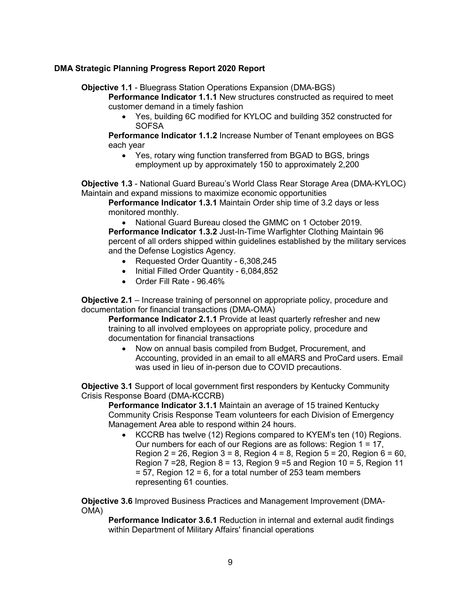# **DMA Strategic Planning Progress Report 2020 Report**

**Objective 1.1** - Bluegrass Station Operations Expansion (DMA-BGS)

**Performance Indicator 1.1.1** New structures constructed as required to meet customer demand in a timely fashion

• Yes, building 6C modified for KYLOC and building 352 constructed for **SOFSA** 

**Performance Indicator 1.1.2** Increase Number of Tenant employees on BGS each year

• Yes, rotary wing function transferred from BGAD to BGS, brings employment up by approximately 150 to approximately 2,200

**Objective 1.3** - National Guard Bureau's World Class Rear Storage Area (DMA-KYLOC) Maintain and expand missions to maximize economic opportunities

**Performance Indicator 1.3.1** Maintain Order ship time of 3.2 days or less monitored monthly.

• National Guard Bureau closed the GMMC on 1 October 2019. **Performance Indicator 1.3.2** Just-In-Time Warfighter Clothing Maintain 96 percent of all orders shipped within guidelines established by the military services and the Defense Logistics Agency.

- Requested Order Quantity 6,308,245
- Initial Filled Order Quantity 6,084,852
- Order Fill Rate 96.46%

**Objective 2.1** – Increase training of personnel on appropriate policy, procedure and documentation for financial transactions (DMA-OMA)

**Performance Indicator 2.1.1** Provide at least quarterly refresher and new training to all involved employees on appropriate policy, procedure and documentation for financial transactions

• Now on annual basis compiled from Budget, Procurement, and Accounting, provided in an email to all eMARS and ProCard users. Email was used in lieu of in-person due to COVID precautions.

**Objective 3.1** Support of local government first responders by Kentucky Community Crisis Response Board (DMA-KCCRB)

**Performance Indicator 3.1.1** Maintain an average of 15 trained Kentucky Community Crisis Response Team volunteers for each Division of Emergency Management Area able to respond within 24 hours.

• KCCRB has twelve (12) Regions compared to KYEM's ten (10) Regions. Our numbers for each of our Regions are as follows: Region  $1 = 17$ , Region 2 = 26, Region 3 = 8, Region 4 = 8, Region 5 = 20, Region 6 = 60, Region  $7 = 28$ , Region  $8 = 13$ , Region  $9 = 5$  and Region  $10 = 5$ , Region 11  $= 57$ , Region 12 = 6, for a total number of 253 team members representing 61 counties.

**Objective 3.6** Improved Business Practices and Management Improvement (DMA-OMA)

**Performance Indicator 3.6.1** Reduction in internal and external audit findings within Department of Military Affairs' financial operations